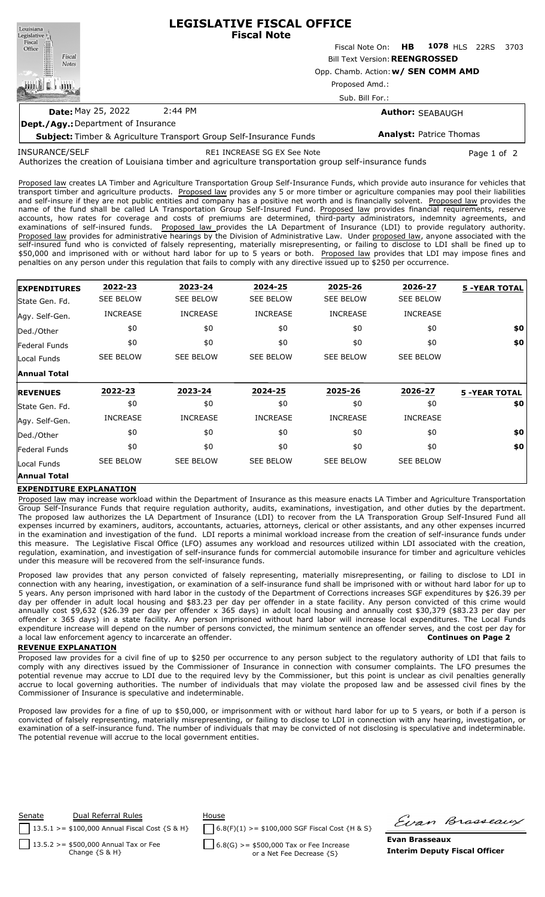| Louisiana<br>Legislative <sup>1</sup>      | <b>LEGISLATIVE FISCAL OFFICE</b><br><b>Fiscal Note</b>                    |                                  |  |                                |  |      |  |  |  |
|--------------------------------------------|---------------------------------------------------------------------------|----------------------------------|--|--------------------------------|--|------|--|--|--|
| Fiscal<br>Office<br>I                      |                                                                           | Fiscal Note On: HB 1078 HLS 22RS |  |                                |  | 3703 |  |  |  |
| Fiscal<br><b>Notes</b>                     | <b>Bill Text Version: REENGROSSED</b>                                     |                                  |  |                                |  |      |  |  |  |
|                                            | Opp. Chamb. Action: w/ SEN COMM AMD                                       |                                  |  |                                |  |      |  |  |  |
|                                            | Proposed Amd.:<br>Sub. Bill For.:                                         |                                  |  |                                |  |      |  |  |  |
|                                            |                                                                           |                                  |  |                                |  |      |  |  |  |
| <b>Date: May 25, 2022</b>                  | 2:44 PM                                                                   | <b>Author: SEABAUGH</b>          |  |                                |  |      |  |  |  |
| <b>Dept./Agy.: Department of Insurance</b> |                                                                           |                                  |  |                                |  |      |  |  |  |
|                                            | <b>Subject:</b> Timber & Agriculture Transport Group Self-Insurance Funds |                                  |  | <b>Analyst: Patrice Thomas</b> |  |      |  |  |  |

INSURANCE/SELF

RE1 INCREASE SG EX See Note Page 1 of 2

Authorizes the creation of Louisiana timber and agriculture transportation group self-insurance funds

Proposed law creates LA Timber and Agriculture Transportation Group Self-Insurance Funds, which provide auto insurance for vehicles that transport timber and agriculture products. Proposed law provides any 5 or more timber or agriculture companies may pool their liabilities and self-insure if they are not public entities and company has a positive net worth and is financially solvent. Proposed law provides the name of the fund shall be called LA Transportation Group Self-Insured Fund. Proposed law provides financial requirements, reserve accounts, how rates for coverage and costs of premiums are determined, third-party administrators, indemnity agreements, and examinations of self-insured funds. Proposed law provides the LA Department of Insurance (LDI) to provide regulatory authority. Proposed law provides for administrative hearings by the Division of Administrative Law. Under proposed law, anyone associated with the self-insured fund who is convicted of falsely representing, materially misrepresenting, or failing to disclose to LDI shall be fined up to \$50,000 and imprisoned with or without hard labor for up to 5 years or both. Proposed law provides that LDI may impose fines and penalties on any person under this regulation that fails to comply with any directive issued up to \$250 per occurrence.

| <b>EXPENDITURES</b> | 2022-23          | 2023-24          | 2024-25          | 2025-26          | 2026-27          | <b>5 -YEAR TOTAL</b> |
|---------------------|------------------|------------------|------------------|------------------|------------------|----------------------|
| State Gen. Fd.      | <b>SEE BELOW</b> | <b>SEE BELOW</b> | <b>SEE BELOW</b> | <b>SEE BELOW</b> | <b>SEE BELOW</b> |                      |
| Agy. Self-Gen.      | <b>INCREASE</b>  | <b>INCREASE</b>  | <b>INCREASE</b>  | <b>INCREASE</b>  | <b>INCREASE</b>  |                      |
| Ded./Other          | \$0              | \$0              | \$0              | \$0              | \$0              | \$0                  |
| Federal Funds       | \$0              | \$0              | \$0              | \$0              | \$0              | \$0                  |
| Local Funds         | <b>SEE BELOW</b> | <b>SEE BELOW</b> | <b>SEE BELOW</b> | <b>SEE BELOW</b> | <b>SEE BELOW</b> |                      |
| <b>Annual Total</b> |                  |                  |                  |                  |                  |                      |
| <b>REVENUES</b>     | 2022-23          | 2023-24          | 2024-25          | 2025-26          | 2026-27          | <b>5 -YEAR TOTAL</b> |
| lState Gen. Fd.     | \$0              | \$0              | \$0              | \$0              | \$0              | \$0                  |
| Agy. Self-Gen.      | <b>INCREASE</b>  | <b>INCREASE</b>  | <b>INCREASE</b>  | <b>INCREASE</b>  | <b>INCREASE</b>  |                      |
| Ded./Other          | \$0              | \$0              | \$0              | \$0              | \$0              | \$0                  |
| Federal Funds       | \$0              | \$0              | \$0              | \$0              | \$0              | \$0                  |
| Local Funds         | <b>SEE BELOW</b> | <b>SEE BELOW</b> | <b>SEE BELOW</b> | <b>SEE BELOW</b> | <b>SEE BELOW</b> |                      |
| <b>Annual Total</b> |                  |                  |                  |                  |                  |                      |

## **EXPENDITURE EXPLANATION**

Proposed law may increase workload within the Department of Insurance as this measure enacts LA Timber and Agriculture Transportation Group Self-Insurance Funds that require regulation authority, audits, examinations, investigation, and other duties by the department. The proposed law authorizes the LA Department of Insurance (LDI) to recover from the LA Transporation Group Self-Insured Fund all expenses incurred by examiners, auditors, accountants, actuaries, attorneys, clerical or other assistants, and any other expenses incurred in the examination and investigation of the fund. LDI reports a minimal workload increase from the creation of self-insurance funds under this measure. The Legislative Fiscal Office (LFO) assumes any workload and resources utilized within LDI associated with the creation, regulation, examination, and investigation of self-insurance funds for commercial automobile insurance for timber and agriculture vehicles under this measure will be recovered from the self-insurance funds.

Proposed law provides that any person convicted of falsely representing, materially misrepresenting, or failing to disclose to LDI in connection with any hearing, investigation, or examination of a self-insurance fund shall be imprisoned with or without hard labor for up to 5 years. Any person imprisoned with hard labor in the custody of the Department of Corrections increases SGF expenditures by \$26.39 per day per offender in adult local housing and \$83.23 per day per offender in a state facility. Any person convicted of this crime would annually cost \$9,632 (\$26.39 per day per offender x 365 days) in adult local housing and annually cost \$30,379 (\$83.23 per day per offender x 365 days) in a state facility. Any person imprisoned without hard labor will increase local expenditures. The Local Funds expenditure increase will depend on the number of persons convicted, the minimum sentence an offender serves, and the cost per day for a local law enforcement agency to incarcerate an offender. **Continues on Page 2**

## **REVENUE EXPLANATION**

Proposed law provides for a civil fine of up to \$250 per occurrence to any person subject to the regulatory authority of LDI that fails to comply with any directives issued by the Commissioner of Insurance in connection with consumer complaints. The LFO presumes the potential revenue may accrue to LDI due to the required levy by the Commissioner, but this point is unclear as civil penalties generally accrue to local governing authorities. The number of individuals that may violate the proposed law and be assessed civil fines by the Commissioner of Insurance is speculative and indeterminable.

Proposed law provides for a fine of up to \$50,000, or imprisonment with or without hard labor for up to 5 years, or both if a person is convicted of falsely representing, materially misrepresenting, or failing to disclose to LDI in connection with any hearing, investigation, or examination of a self-insurance fund. The number of individuals that may be convicted of not disclosing is speculative and indeterminable. The potential revenue will accrue to the local government entities.